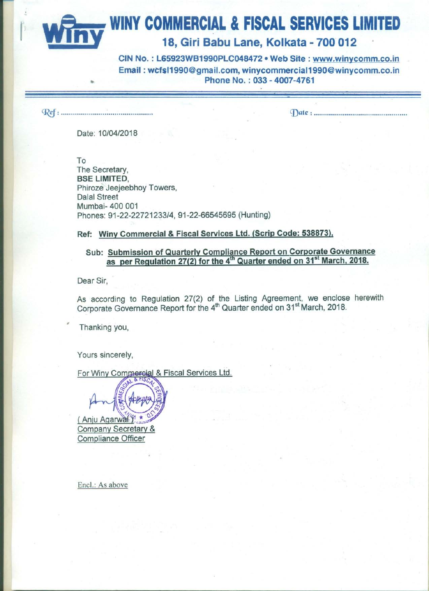**WINY COMMERCIAL & FISCAL SERVICES LIMITED** 

18, Giri Babu Lane, Kolkata - 700 012

CIN No.: L65923WB1990PLC048472 . Web Site: www.winycomm.co.in Email: wcfsl1990@gmail.com, winycommercial1990@winycomm.co.in Phone No.: 033 - 4007-4761

Date: 10/04/2018

To The Secretary, **BSE LIMITED.** Phiroze Jeejeebhoy Towers, **Dalal Street** Mumbai- 400 001 Phones: 91-22-22721233/4, 91-22-66545695 (Hunting)

Ref: Winy Commercial & Fiscal Services Ltd. (Scrip Code: 538873),

## Sub: Submission of Quarterly Compliance Report on Corporate Governance as per Regulation 27(2) for the 4<sup>th</sup> Quarter ended on 31<sup>st</sup> March, 2018.

Dear Sir.

As according to Regulation 27(2) of the Listing Agreement, we enclose herewith Corporate Governance Report for the 4<sup>th</sup> Quarter ended on 31<sup>st</sup> March, 2018.

Thanking you,

Yours sincerely.

For Winy Commercial & Fiscal Services Ltd.

(Aniu Agarwal Company Secretary & **Compliance Officer** 

Encl.: As above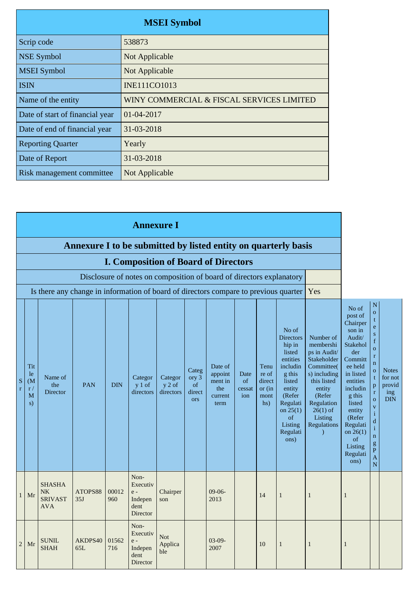|                                 | <b>MSEI</b> Symbol                        |
|---------------------------------|-------------------------------------------|
| Scrip code                      | 538873                                    |
| <b>NSE Symbol</b>               | Not Applicable                            |
| <b>MSEI</b> Symbol              | Not Applicable                            |
| <b>ISIN</b>                     | <b>INE111CO1013</b>                       |
| Name of the entity              | WINY COMMERCIAL & FISCAL SERVICES LIMITED |
| Date of start of financial year | 01-04-2017                                |
| Date of end of financial year   | 31-03-2018                                |
| <b>Reporting Quarter</b>        | Yearly                                    |
| Date of Report                  | 31-03-2018                                |
| Risk management committee       | Not Applicable                            |

|                  |                                                 |                                                                                      |                                                                |              | <b>Annexure I</b>                                                    |                                  |                                              |                                                         |                             |                                                     |                                                                                                                                                                              |                                                                                                                                                                                                  |                                                                                                                                                                                                                                       |                                                                                                                                                                                                                                                                                               |                                                        |
|------------------|-------------------------------------------------|--------------------------------------------------------------------------------------|----------------------------------------------------------------|--------------|----------------------------------------------------------------------|----------------------------------|----------------------------------------------|---------------------------------------------------------|-----------------------------|-----------------------------------------------------|------------------------------------------------------------------------------------------------------------------------------------------------------------------------------|--------------------------------------------------------------------------------------------------------------------------------------------------------------------------------------------------|---------------------------------------------------------------------------------------------------------------------------------------------------------------------------------------------------------------------------------------|-----------------------------------------------------------------------------------------------------------------------------------------------------------------------------------------------------------------------------------------------------------------------------------------------|--------------------------------------------------------|
|                  |                                                 |                                                                                      | Annexure I to be submitted by listed entity on quarterly basis |              |                                                                      |                                  |                                              |                                                         |                             |                                                     |                                                                                                                                                                              |                                                                                                                                                                                                  |                                                                                                                                                                                                                                       |                                                                                                                                                                                                                                                                                               |                                                        |
|                  |                                                 |                                                                                      |                                                                |              | <b>I. Composition of Board of Directors</b>                          |                                  |                                              |                                                         |                             |                                                     |                                                                                                                                                                              |                                                                                                                                                                                                  |                                                                                                                                                                                                                                       |                                                                                                                                                                                                                                                                                               |                                                        |
|                  |                                                 |                                                                                      |                                                                |              | Disclosure of notes on composition of board of directors explanatory |                                  |                                              |                                                         |                             |                                                     |                                                                                                                                                                              |                                                                                                                                                                                                  |                                                                                                                                                                                                                                       |                                                                                                                                                                                                                                                                                               |                                                        |
|                  |                                                 | Is there any change in information of board of directors compare to previous quarter |                                                                |              |                                                                      |                                  |                                              |                                                         | Yes                         |                                                     |                                                                                                                                                                              |                                                                                                                                                                                                  |                                                                                                                                                                                                                                       |                                                                                                                                                                                                                                                                                               |                                                        |
| S<br>$\mathbf r$ | Tit<br>le<br>(M <sup>o</sup> )<br>r/<br>M<br>s) | Name of<br>the<br><b>Director</b>                                                    | <b>PAN</b>                                                     | <b>DIN</b>   | Categor<br>$y 1$ of<br>directors                                     | Categor<br>$y 2$ of<br>directors | Categ<br>ory 3<br>of<br>direct<br><b>ors</b> | Date of<br>appoint<br>ment in<br>the<br>current<br>term | Date<br>of<br>cessat<br>ion | Tenu<br>re of<br>direct<br>or $(in)$<br>mont<br>hs) | No of<br><b>Directors</b><br>hip in<br>listed<br>entities<br>includin<br>g this<br>listed<br>entity<br>(Refer<br>Regulati<br>on $25(1)$<br>of<br>Listing<br>Regulati<br>ons) | Number of<br>membershi<br>ps in Audit/<br>Stakeholder<br>Committee(<br>s) including<br>this listed<br>entity<br>(Refer<br>Regulation<br>$26(1)$ of<br>Listing<br><b>Regulations</b><br>$\lambda$ | No of<br>post of<br>Chairper<br>son in<br>Audit/<br>Stakehol<br>der<br>Committ<br>ee held<br>in listed<br>entities<br>includin<br>g this<br>listed<br>entity<br>(Refer<br>Regulati<br>on $26(1)$<br>of<br>Listing<br>Regulati<br>ons) | $\mathbf N$<br>$\overline{O}$<br>t<br>${\bf e}$<br>${\bf S}$<br>f<br>$\mathbf O$<br>$\mathbf r$<br>$\mathbf n$<br>$\mathbf{o}$<br>t<br>p<br>$\mathbf r$<br>$\mathbf{o}$<br>$\mathbf{V}$<br>$\mathbf{i}$<br>${\bf d}$<br>$\mathbf{i}$<br>$\mathbf n$<br>$\mathbf{g}$<br>$\mathbf{P}$<br>A<br>N | <b>Notes</b><br>for not<br>provid<br>ing<br><b>DIN</b> |
| 1                | Mr                                              | <b>SHASHA</b><br><b>NK</b><br><b>SRIVAST</b><br><b>AVA</b>                           | ATOPS88<br>35J                                                 | 00012<br>960 | Non-<br>Executiv<br>$e -$<br>Indepen<br>dent<br>Director             | Chairper<br>son                  |                                              | $09-06-$<br>2013                                        |                             | 14                                                  | $\,1\,$                                                                                                                                                                      | $\mathbf{1}$                                                                                                                                                                                     | 1                                                                                                                                                                                                                                     |                                                                                                                                                                                                                                                                                               |                                                        |
| $\overline{c}$   | Mr                                              | <b>SUNIL</b><br><b>SHAH</b>                                                          | AKDPS40<br>65L                                                 | 01562<br>716 | Non-<br>Executiv<br>$e -$<br>Indepen<br>dent<br>Director             | <b>Not</b><br>Applica<br>ble     |                                              | $03-09-$<br>2007                                        |                             | 10                                                  | $\mathbf{1}$                                                                                                                                                                 | $\mathbf{1}$                                                                                                                                                                                     | $\mathbf{1}$                                                                                                                                                                                                                          |                                                                                                                                                                                                                                                                                               |                                                        |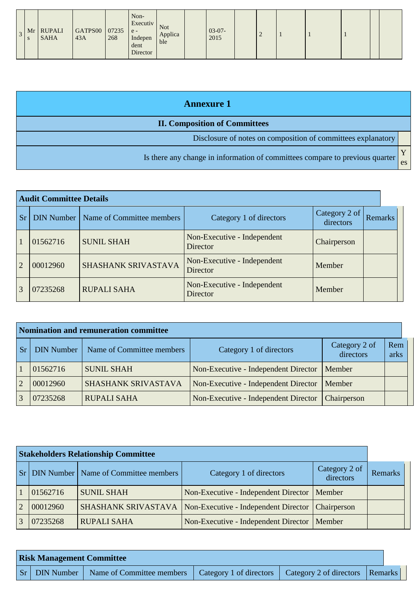| 3 <sup>1</sup> | Mr<br>S | <b>RUPALI</b><br><b>SAHA</b> | GATPS00<br>43A | 07235<br>268 | Non-<br>Executiv<br>$e -$<br>Indepen<br>dent<br>Director | <b>Not</b><br>Applica<br>ble |  | $03-07-$<br>2015 |  |  |  |  |  |  |  |
|----------------|---------|------------------------------|----------------|--------------|----------------------------------------------------------|------------------------------|--|------------------|--|--|--|--|--|--|--|
|----------------|---------|------------------------------|----------------|--------------|----------------------------------------------------------|------------------------------|--|------------------|--|--|--|--|--|--|--|

| <b>Annexure 1</b>                                                            |    |  |  |  |  |
|------------------------------------------------------------------------------|----|--|--|--|--|
| <b>II. Composition of Committees</b>                                         |    |  |  |  |  |
| Disclosure of notes on composition of committees explanatory                 |    |  |  |  |  |
| Is there any change in information of committees compare to previous quarter | es |  |  |  |  |

| <b>Audit Committee Details</b> |                   |                           |                                                |                            |                |  |  |  |
|--------------------------------|-------------------|---------------------------|------------------------------------------------|----------------------------|----------------|--|--|--|
| <b>Sr</b>                      | <b>DIN Number</b> | Name of Committee members | Category 1 of directors                        | Category 2 of<br>directors | <b>Remarks</b> |  |  |  |
|                                | 01562716          | <b>SUNIL SHAH</b>         | Non-Executive - Independent<br>Director        | Chairperson                |                |  |  |  |
| $\overline{2}$                 | 00012960          | SHASHANK SRIVASTAVA       | Non-Executive - Independent<br><b>Director</b> | Member                     |                |  |  |  |
| 3                              | 07235268          | <b>RUPALI SAHA</b>        | Non-Executive - Independent<br><b>Director</b> | Member                     |                |  |  |  |

|                | Nomination and remuneration committee |                           |                                      |             |             |  |  |  |  |  |
|----------------|---------------------------------------|---------------------------|--------------------------------------|-------------|-------------|--|--|--|--|--|
| <b>Sr</b>      | <b>DIN Number</b>                     | Name of Committee members | Category 1 of directors              |             | Rem<br>arks |  |  |  |  |  |
|                | 01562716                              | <b>SUNIL SHAH</b>         | Non-Executive - Independent Director | Member      |             |  |  |  |  |  |
| $\overline{2}$ | 00012960                              | SHASHANK SRIVASTAVA       | Non-Executive - Independent Director | Member      |             |  |  |  |  |  |
|                | 07235268                              | <b>RUPALI SAHA</b>        | Non-Executive - Independent Director | Chairperson |             |  |  |  |  |  |

|                       |          | <b>Stakeholders Relationship Committee</b>       |                                               |                            |         |
|-----------------------|----------|--------------------------------------------------|-----------------------------------------------|----------------------------|---------|
|                       |          | <b>Sr</b> DIN Number   Name of Committee members | Category 1 of directors                       | Category 2 of<br>directors | Remarks |
|                       | 01562716 | <b>SUNIL SHAH</b>                                | Non-Executive - Independent Director   Member |                            |         |
| $\mathcal{D}_{\cdot}$ | 00012960 | SHASHANK SRIVASTAVA                              | Non-Executive - Independent Director          | Chairperson                |         |
| $\overline{3}$        | 07235268 | <b>RUPALI SAHA</b>                               | Non-Executive - Independent Director   Member |                            |         |

| <b>Risk Management Committee</b> |                      |                           |                                                             |  |  |  |  |  |
|----------------------------------|----------------------|---------------------------|-------------------------------------------------------------|--|--|--|--|--|
|                                  | <b>Sr</b> DIN Number | Name of Committee members | Category 1 of directors   Category 2 of directors   Remarks |  |  |  |  |  |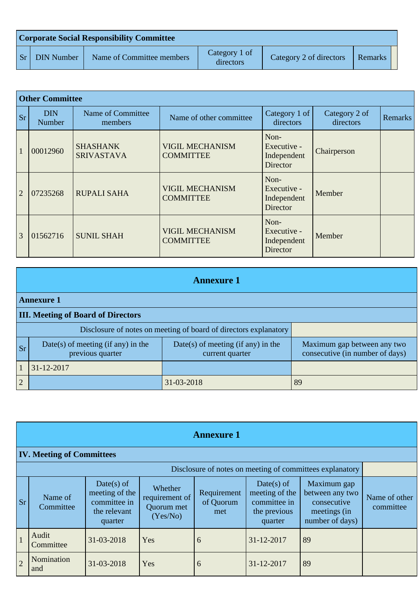| <b>Corporate Social Responsibility Committee</b> |                           |                            |                         |         |  |  |  |  |
|--------------------------------------------------|---------------------------|----------------------------|-------------------------|---------|--|--|--|--|
| <b>Sr</b> DIN Number                             | Name of Committee members | Category 1 of<br>directors | Category 2 of directors | Remarks |  |  |  |  |

|                | <b>Other Committee</b> |                                      |                                            |                                                       |                            |                |
|----------------|------------------------|--------------------------------------|--------------------------------------------|-------------------------------------------------------|----------------------------|----------------|
| <b>Sr</b>      | <b>DIN</b><br>Number   | Name of Committee<br>members         | Name of other committee                    | Category 1 of<br>directors                            | Category 2 of<br>directors | <b>Remarks</b> |
|                | 00012960               | <b>SHASHANK</b><br><b>SRIVASTAVA</b> | <b>VIGIL MECHANISM</b><br><b>COMMITTEE</b> | Non-<br>Executive -<br>Independent<br><b>Director</b> | Chairperson                |                |
| $\overline{2}$ | 07235268               | <b>RUPALI SAHA</b>                   | <b>VIGIL MECHANISM</b><br><b>COMMITTEE</b> | Non-<br>Executive -<br>Independent<br><b>Director</b> | Member                     |                |
| 3              | 01562716               | <b>SUNIL SHAH</b>                    | <b>VIGIL MECHANISM</b><br><b>COMMITTEE</b> | Non-<br>Executive -<br>Independent<br><b>Director</b> | Member                     |                |

|                | <b>Annexure 1</b>                                                |                                                       |                                                                |  |  |  |  |  |
|----------------|------------------------------------------------------------------|-------------------------------------------------------|----------------------------------------------------------------|--|--|--|--|--|
|                | <b>Annexure 1</b>                                                |                                                       |                                                                |  |  |  |  |  |
|                | <b>III. Meeting of Board of Directors</b>                        |                                                       |                                                                |  |  |  |  |  |
|                | Disclosure of notes on meeting of board of directors explanatory |                                                       |                                                                |  |  |  |  |  |
| <b>Sr</b>      | Date(s) of meeting (if any) in the<br>previous quarter           | Date(s) of meeting (if any) in the<br>current quarter | Maximum gap between any two<br>consecutive (in number of days) |  |  |  |  |  |
|                | $31 - 12 - 2017$                                                 |                                                       |                                                                |  |  |  |  |  |
| $\overline{2}$ |                                                                  | 31-03-2018                                            | 89                                                             |  |  |  |  |  |

|                                                          | <b>Annexure 1</b>                |                                                                         |                                                     |                                 |                                                                         |                                                                                  |                            |  |  |
|----------------------------------------------------------|----------------------------------|-------------------------------------------------------------------------|-----------------------------------------------------|---------------------------------|-------------------------------------------------------------------------|----------------------------------------------------------------------------------|----------------------------|--|--|
|                                                          | <b>IV. Meeting of Committees</b> |                                                                         |                                                     |                                 |                                                                         |                                                                                  |                            |  |  |
| Disclosure of notes on meeting of committees explanatory |                                  |                                                                         |                                                     |                                 |                                                                         |                                                                                  |                            |  |  |
| <sub>Sr</sub>                                            | Name of<br>Committee             | Date(s) of<br>meeting of the<br>committee in<br>the relevant<br>quarter | Whether<br>requirement of<br>Quorum met<br>(Yes/No) | Requirement<br>of Quorum<br>met | Date(s) of<br>meeting of the<br>committee in<br>the previous<br>quarter | Maximum gap<br>between any two<br>consecutive<br>meetings (in<br>number of days) | Name of other<br>committee |  |  |
|                                                          | Audit<br>Committee               | 31-03-2018                                                              | Yes                                                 | 6                               | 31-12-2017                                                              | 89                                                                               |                            |  |  |
| $\overline{2}$                                           | Nomination<br>and                | 31-03-2018                                                              | Yes                                                 | 6                               | 31-12-2017                                                              | 89                                                                               |                            |  |  |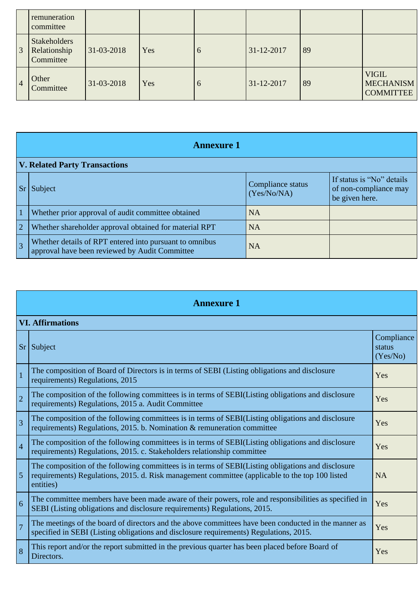|                | remuneration<br>committee                        |            |     |   |            |    |                                                      |
|----------------|--------------------------------------------------|------------|-----|---|------------|----|------------------------------------------------------|
| $\mathfrak{Z}$ | <b>Stakeholders</b><br>Relationship<br>Committee | 31-03-2018 | Yes | 6 | 31-12-2017 | 89 |                                                      |
| $\overline{4}$ | Other<br>Committee                               | 31-03-2018 | Yes | 6 | 31-12-2017 | 89 | <b>VIGIL</b><br><b>MECHANISM</b><br><b>COMMITTEE</b> |

|                | <b>Annexure 1</b>                                                                                         |                                  |                                                                      |  |  |
|----------------|-----------------------------------------------------------------------------------------------------------|----------------------------------|----------------------------------------------------------------------|--|--|
|                | <b>V. Related Party Transactions</b>                                                                      |                                  |                                                                      |  |  |
|                | Subject                                                                                                   | Compliance status<br>(Yes/No/NA) | If status is "No" details<br>of non-compliance may<br>be given here. |  |  |
| $\overline{1}$ | Whether prior approval of audit committee obtained                                                        | <b>NA</b>                        |                                                                      |  |  |
| $\overline{2}$ | Whether shareholder approval obtained for material RPT                                                    | <b>NA</b>                        |                                                                      |  |  |
| $\overline{3}$ | Whether details of RPT entered into pursuant to omnibus<br>approval have been reviewed by Audit Committee | <b>NA</b>                        |                                                                      |  |  |

| <b>Annexure 1</b> |                                                                                                                                                                                                                    |                                  |  |
|-------------------|--------------------------------------------------------------------------------------------------------------------------------------------------------------------------------------------------------------------|----------------------------------|--|
|                   | <b>VI. Affirmations</b>                                                                                                                                                                                            |                                  |  |
| Sr                | Subject                                                                                                                                                                                                            | Compliance<br>status<br>(Yes/No) |  |
| $\overline{1}$    | The composition of Board of Directors is in terms of SEBI (Listing obligations and disclosure<br>requirements) Regulations, 2015                                                                                   | Yes                              |  |
| $\vert$ 2         | The composition of the following committees is in terms of SEBI(Listing obligations and disclosure<br>requirements) Regulations, 2015 a. Audit Committee                                                           | Yes                              |  |
| $\vert$ 3         | The composition of the following committees is in terms of SEBI(Listing obligations and disclosure<br>requirements) Regulations, 2015. b. Nomination & remuneration committee                                      | Yes                              |  |
| $\vert 4$         | The composition of the following committees is in terms of SEBI(Listing obligations and disclosure<br>requirements) Regulations, 2015. c. Stakeholders relationship committee                                      | Yes                              |  |
| $\overline{5}$    | The composition of the following committees is in terms of SEBI(Listing obligations and disclosure<br>requirements) Regulations, 2015. d. Risk management committee (applicable to the top 100 listed<br>entities) | <b>NA</b>                        |  |
| $\overline{6}$    | The committee members have been made aware of their powers, role and responsibilities as specified in<br>SEBI (Listing obligations and disclosure requirements) Regulations, 2015.                                 | Yes                              |  |
| $\overline{7}$    | The meetings of the board of directors and the above committees have been conducted in the manner as<br>specified in SEBI (Listing obligations and disclosure requirements) Regulations, 2015.                     | Yes                              |  |
| 8                 | This report and/or the report submitted in the previous quarter has been placed before Board of<br>Directors.                                                                                                      | Yes                              |  |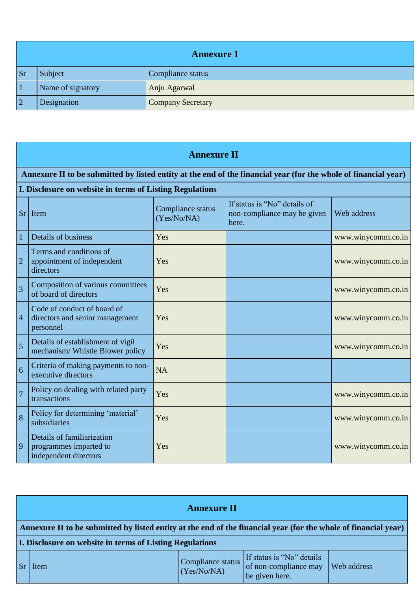|          | <b>Annexure 1</b> |                          |  |  |
|----------|-------------------|--------------------------|--|--|
| <b>S</b> | Subject           | Compliance status        |  |  |
|          | Name of signatory | Anju Agarwal             |  |  |
|          | Designation       | <b>Company Secretary</b> |  |  |

|                | <b>Annexure II</b>                                                                                              |                                  |                                                                      |                    |  |  |
|----------------|-----------------------------------------------------------------------------------------------------------------|----------------------------------|----------------------------------------------------------------------|--------------------|--|--|
|                | Annexure II to be submitted by listed entity at the end of the financial year (for the whole of financial year) |                                  |                                                                      |                    |  |  |
|                | I. Disclosure on website in terms of Listing Regulations                                                        |                                  |                                                                      |                    |  |  |
| <b>Sr</b>      | Item                                                                                                            | Compliance status<br>(Yes/No/NA) | If status is "No" details of<br>non-compliance may be given<br>here. | Web address        |  |  |
| 1              | Details of business                                                                                             | Yes                              |                                                                      | www.winycomm.co.in |  |  |
| $\overline{2}$ | Terms and conditions of<br>appointment of independent<br>directors                                              | Yes                              |                                                                      | www.winycomm.co.in |  |  |
| $\overline{3}$ | Composition of various committees<br>of board of directors                                                      | Yes                              |                                                                      | www.winycomm.co.in |  |  |
| $\overline{4}$ | Code of conduct of board of<br>directors and senior management<br>personnel                                     | Yes                              |                                                                      | www.winycomm.co.in |  |  |
| 5              | Details of establishment of vigil<br>mechanism/ Whistle Blower policy                                           | Yes                              |                                                                      | www.winycomm.co.in |  |  |
| 6              | Criteria of making payments to non-<br>executive directors                                                      | <b>NA</b>                        |                                                                      |                    |  |  |
| $\overline{7}$ | Policy on dealing with related party<br>transactions                                                            | Yes                              |                                                                      | www.winycomm.co.in |  |  |
| 8              | Policy for determining 'material'<br>subsidiaries                                                               | Yes                              |                                                                      | www.winycomm.co.in |  |  |
| 9              | Details of familiarization<br>programmes imparted to<br>independent directors                                   | Yes                              |                                                                      | www.winycomm.co.in |  |  |

|                        | <b>Annexure II</b>                                                                                              |                                  |                                                                      |             |  |
|------------------------|-----------------------------------------------------------------------------------------------------------------|----------------------------------|----------------------------------------------------------------------|-------------|--|
|                        | Annexure II to be submitted by listed entity at the end of the financial year (for the whole of financial year) |                                  |                                                                      |             |  |
|                        | <b>I. Disclosure on website in terms of Listing Regulations</b>                                                 |                                  |                                                                      |             |  |
| $\mathsf{S}\mathbf{r}$ | Item                                                                                                            | Compliance status<br>(Yes/No/NA) | If status is "No" details<br>of non-compliance may<br>be given here. | Web address |  |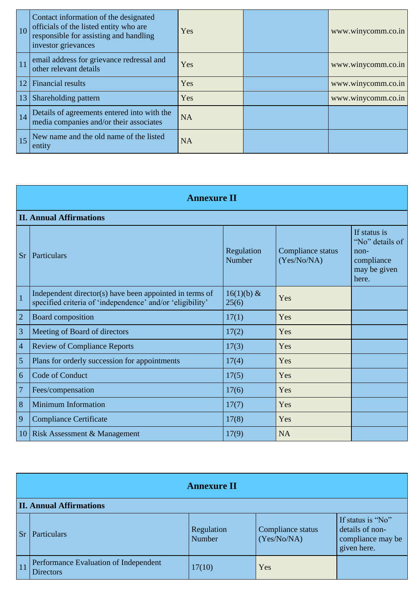| <b>10</b> | Contact information of the designated<br>officials of the listed entity who are<br>responsible for assisting and handling<br>investor grievances | Yes       | www.winycomm.co.in |
|-----------|--------------------------------------------------------------------------------------------------------------------------------------------------|-----------|--------------------|
| 11        | email address for grievance redressal and<br>other relevant details                                                                              | Yes       | www.winycomm.co.in |
| 12        | Financial results                                                                                                                                | Yes       | www.winycomm.co.in |
| 13        | Shareholding pattern                                                                                                                             | Yes       | www.winycomm.co.in |
| 14        | Details of agreements entered into with the<br>media companies and/or their associates                                                           | <b>NA</b> |                    |
| 15        | New name and the old name of the listed<br>entity                                                                                                | <b>NA</b> |                    |

|                | <b>Annexure II</b>                                                                                                   |                       |                                  |                                                                                  |  |  |
|----------------|----------------------------------------------------------------------------------------------------------------------|-----------------------|----------------------------------|----------------------------------------------------------------------------------|--|--|
|                | <b>II. Annual Affirmations</b>                                                                                       |                       |                                  |                                                                                  |  |  |
| <b>Sr</b>      | Particulars                                                                                                          | Regulation<br>Number  | Compliance status<br>(Yes/No/NA) | If status is<br>"No" details of<br>$non-$<br>compliance<br>may be given<br>here. |  |  |
| $\overline{1}$ | Independent director(s) have been appointed in terms of<br>specified criteria of 'independence' and/or 'eligibility' | $16(1)(b)$ &<br>25(6) | Yes                              |                                                                                  |  |  |
| $\overline{2}$ | <b>Board composition</b>                                                                                             | 17(1)                 | Yes                              |                                                                                  |  |  |
| 3              | Meeting of Board of directors                                                                                        | 17(2)                 | Yes                              |                                                                                  |  |  |
| $\overline{4}$ | <b>Review of Compliance Reports</b>                                                                                  | 17(3)                 | Yes                              |                                                                                  |  |  |
| 5              | Plans for orderly succession for appointments                                                                        | 17(4)                 | Yes                              |                                                                                  |  |  |
| 6              | Code of Conduct                                                                                                      | 17(5)                 | Yes                              |                                                                                  |  |  |
| $\overline{7}$ | Fees/compensation                                                                                                    | 17(6)                 | Yes                              |                                                                                  |  |  |
| 8              | <b>Minimum Information</b>                                                                                           | 17(7)                 | Yes                              |                                                                                  |  |  |
| 9              | <b>Compliance Certificate</b>                                                                                        | 17(8)                 | Yes                              |                                                                                  |  |  |
| 10             | Risk Assessment & Management                                                                                         | 17(9)                 | <b>NA</b>                        |                                                                                  |  |  |

|           | <b>Annexure II</b>                                        |                      |                                  |                                                                          |  |  |
|-----------|-----------------------------------------------------------|----------------------|----------------------------------|--------------------------------------------------------------------------|--|--|
|           | <b>II. Annual Affirmations</b>                            |                      |                                  |                                                                          |  |  |
| <b>Sr</b> | Particulars                                               | Regulation<br>Number | Compliance status<br>(Yes/No/NA) | If status is "No"<br>details of non-<br>compliance may be<br>given here. |  |  |
| 11        | Performance Evaluation of Independent<br><b>Directors</b> | 17(10)               | Yes                              |                                                                          |  |  |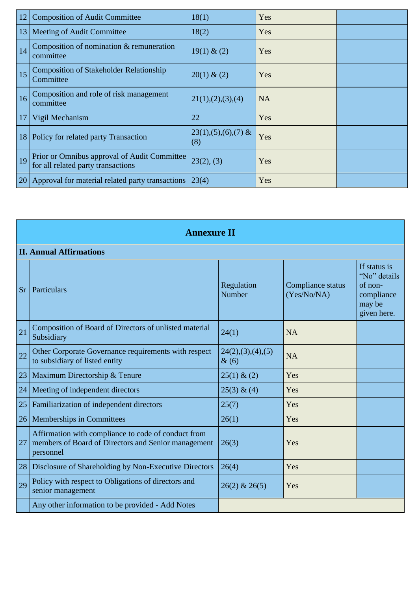| 12 | <b>Composition of Audit Committee</b>                                              | 18(1)                           | Yes       |  |
|----|------------------------------------------------------------------------------------|---------------------------------|-----------|--|
| 13 | Meeting of Audit Committee                                                         | 18(2)                           | Yes       |  |
| 14 | Composition of nomination & remuneration<br>committee                              | 19(1) & (2)                     | Yes       |  |
| 15 | <b>Composition of Stakeholder Relationship</b><br>Committee                        | 20(1) & (2)                     | Yes       |  |
| 16 | Composition and role of risk management<br>committee                               | 21(1), (2), (3), (4)            | <b>NA</b> |  |
| 17 | Vigil Mechanism                                                                    | 22                              | Yes       |  |
| 18 | Policy for related party Transaction                                               | $23(1), (5), (6), (7)$ &<br>(8) | Yes       |  |
| 19 | Prior or Omnibus approval of Audit Committee<br>for all related party transactions | 23(2), (3)                      | Yes       |  |
| 20 | Approval for material related party transactions                                   | 23(4)                           | Yes       |  |

|           | <b>Annexure II</b>                                                                                                      |                              |                                  |                                                                                |  |
|-----------|-------------------------------------------------------------------------------------------------------------------------|------------------------------|----------------------------------|--------------------------------------------------------------------------------|--|
|           | <b>II. Annual Affirmations</b>                                                                                          |                              |                                  |                                                                                |  |
| <b>Sr</b> | Particulars                                                                                                             | Regulation<br>Number         | Compliance status<br>(Yes/No/NA) | If status is<br>"No" details<br>of non-<br>compliance<br>may be<br>given here. |  |
| 21        | Composition of Board of Directors of unlisted material<br>Subsidiary                                                    | 24(1)                        | <b>NA</b>                        |                                                                                |  |
| 22        | Other Corporate Governance requirements with respect<br>to subsidiary of listed entity                                  | 24(2),(3),(4),(5)<br>$\&(6)$ | <b>NA</b>                        |                                                                                |  |
| 23        | Maximum Directorship & Tenure                                                                                           | $25(1)$ & (2)                | Yes                              |                                                                                |  |
| 24        | Meeting of independent directors                                                                                        | 25(3) & (4)                  | Yes                              |                                                                                |  |
| 25        | Familiarization of independent directors                                                                                | 25(7)                        | Yes                              |                                                                                |  |
| 26        | Memberships in Committees                                                                                               | 26(1)                        | Yes                              |                                                                                |  |
| 27        | Affirmation with compliance to code of conduct from<br>members of Board of Directors and Senior management<br>personnel | 26(3)                        | Yes                              |                                                                                |  |
| 28        | Disclosure of Shareholding by Non-Executive Directors                                                                   | 26(4)                        | Yes                              |                                                                                |  |
| 29        | Policy with respect to Obligations of directors and<br>senior management                                                | $26(2)$ & $26(5)$            | Yes                              |                                                                                |  |
|           | Any other information to be provided - Add Notes                                                                        |                              |                                  |                                                                                |  |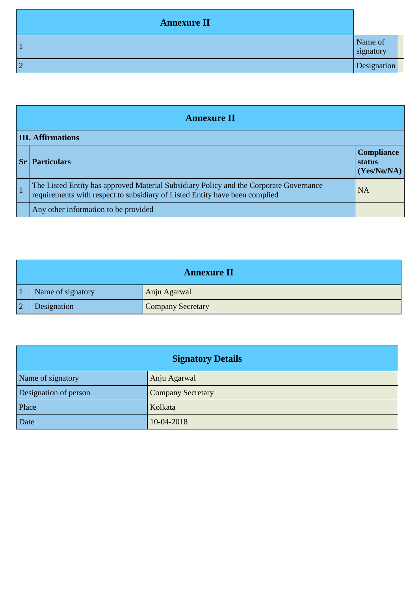| <b>Annexure II</b> |                      |
|--------------------|----------------------|
|                    | Name of<br>signatory |
| ി                  | Designation          |

| <b>Annexure II</b>       |                                                                                                                                                                       |                                            |  |  |  |  |
|--------------------------|-----------------------------------------------------------------------------------------------------------------------------------------------------------------------|--------------------------------------------|--|--|--|--|
| <b>III. Affirmations</b> |                                                                                                                                                                       |                                            |  |  |  |  |
|                          | <b>Particulars</b>                                                                                                                                                    | <b>Compliance</b><br>status<br>(Yes/No/NA) |  |  |  |  |
|                          | The Listed Entity has approved Material Subsidiary Policy and the Corporate Governance<br>requirements with respect to subsidiary of Listed Entity have been complied | <b>NA</b>                                  |  |  |  |  |
|                          | Any other information to be provided                                                                                                                                  |                                            |  |  |  |  |

| <b>Annexure II</b> |                   |                   |  |  |  |  |  |
|--------------------|-------------------|-------------------|--|--|--|--|--|
|                    | Name of signatory | Anju Agarwal      |  |  |  |  |  |
|                    | Designation       | Company Secretary |  |  |  |  |  |

| <b>Signatory Details</b> |                          |  |  |  |  |
|--------------------------|--------------------------|--|--|--|--|
| Name of signatory        | Anju Agarwal             |  |  |  |  |
| Designation of person    | <b>Company Secretary</b> |  |  |  |  |
| Place                    | Kolkata                  |  |  |  |  |
| Date                     | 10-04-2018               |  |  |  |  |